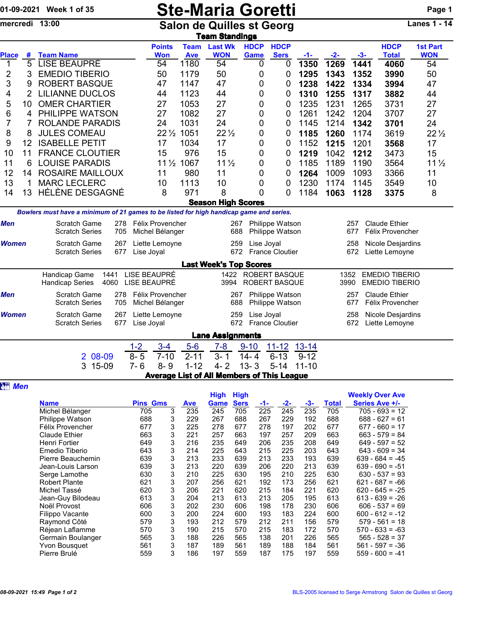|                |        | 01-09-2021 Week 1 of 35                                                                 |                                                                                         | <b>Ste-Maria Goretti</b><br><b>Salon de Quilles st Georg</b><br><b>Team Standings</b> |                                            |                                                                                                             |                      |                                                   |                                                        |                                                   |                                                        |                 |  |  |  |
|----------------|--------|-----------------------------------------------------------------------------------------|-----------------------------------------------------------------------------------------|---------------------------------------------------------------------------------------|--------------------------------------------|-------------------------------------------------------------------------------------------------------------|----------------------|---------------------------------------------------|--------------------------------------------------------|---------------------------------------------------|--------------------------------------------------------|-----------------|--|--|--|
|                |        | mercredi 13:00                                                                          |                                                                                         |                                                                                       |                                            |                                                                                                             |                      |                                                   |                                                        |                                                   |                                                        |                 |  |  |  |
|                |        |                                                                                         | <b>Points</b>                                                                           | <b>Team</b>                                                                           | <b>Last Wk</b>                             | <b>HDCP</b>                                                                                                 | <b>HDCP</b>          |                                                   |                                                        |                                                   | <b>HDCP</b>                                            | <b>1st Part</b> |  |  |  |
| <b>Place</b>   | #<br>5 | <b>Team Name</b>                                                                        | Won                                                                                     | <b>Ave</b>                                                                            | <b>WON</b>                                 | Game                                                                                                        | <b>Sers</b>          | <u>-1-</u>                                        | $-2-$                                                  | $-3-$                                             | <b>Total</b>                                           | <b>WON</b>      |  |  |  |
| 1              |        | <b>LISE BEAUPRÉ</b>                                                                     | 54                                                                                      | 1180<br>1179                                                                          | 54<br>50                                   | 0                                                                                                           | 0                    | 1350                                              | 1269                                                   | 1441                                              | 4060                                                   | 54              |  |  |  |
| 2              | 3      | <b>EMEDIO TIBERIO</b>                                                                   | 50                                                                                      |                                                                                       |                                            | 0                                                                                                           | 0                    | 1295                                              | 1343                                                   | 1352                                              | 3990                                                   | 50              |  |  |  |
| 3              | 9      | <b>ROBERT BASQUE</b>                                                                    | 47                                                                                      | 1147                                                                                  | 47                                         | 0                                                                                                           | 0                    | 1238                                              | 1422                                                   | 1334                                              | 3994                                                   | 47              |  |  |  |
| 4              | 2      | <b>LILIANNE DUCLOS</b>                                                                  | 44                                                                                      | 1123                                                                                  | 44                                         | 0                                                                                                           | 0                    | 1310                                              | 1255                                                   | 1317                                              | 3882                                                   | 44              |  |  |  |
| 5              | 10     | <b>OMER CHARTIER</b>                                                                    | 27                                                                                      | 1053                                                                                  | 27                                         | 0                                                                                                           | 0                    | 1235                                              | 1231                                                   | 1265                                              | 3731                                                   | 27              |  |  |  |
| 6              | 4      | PHILIPPE WATSON                                                                         | 27                                                                                      | 1082                                                                                  | 27                                         | 0                                                                                                           | 0                    | 1261                                              | 1242                                                   | 1204                                              | 3707                                                   | 27              |  |  |  |
| 7              | 7      | <b>ROLANDE PARADIS</b>                                                                  | 24                                                                                      | 1031                                                                                  | 24                                         | 0                                                                                                           | 0                    | 1145                                              | 1214                                                   | 1342                                              | 3701                                                   | 24              |  |  |  |
| 8              | 8      | <b>JULES COMEAU</b>                                                                     | $22\frac{1}{2}$                                                                         | 1051                                                                                  | $22\frac{1}{2}$                            | 0                                                                                                           | 0                    | 1185                                              | 1260                                                   | 1174                                              | 3619                                                   | $22\frac{1}{2}$ |  |  |  |
| 9              | 12     | <b>ISABELLE PETIT</b>                                                                   | 17                                                                                      | 1034                                                                                  | 17                                         | 0                                                                                                           | 0                    | 1152                                              | 1215                                                   | 1201                                              | 3568                                                   | 17              |  |  |  |
| 10             | 11     | <b>FRANCE CLOUTIER</b>                                                                  | 15                                                                                      | 976                                                                                   | 15                                         | 0                                                                                                           | 0                    | 1219                                              | 1042                                                   | 1212                                              | 3473                                                   | 15              |  |  |  |
| 11             | 6      | <b>LOUISE PARADIS</b>                                                                   | 11 1/2 1067                                                                             |                                                                                       | $11\frac{1}{2}$                            | 0                                                                                                           | 0                    | 1185                                              | 1189                                                   | 1190                                              | 3564                                                   | 11 <sub>2</sub> |  |  |  |
| 12             | 14     | <b>ROSAIRE MAILLOUX</b>                                                                 | 11                                                                                      | 980                                                                                   | 11                                         | 0                                                                                                           | 0                    | 1264                                              | 1009                                                   | 1093                                              | 3366                                                   | 11              |  |  |  |
| 13             | 1      | <b>MARC LECLERC</b>                                                                     | 10                                                                                      | 1113                                                                                  | 10                                         | 0                                                                                                           | 0                    | 1230                                              | 1174                                                   | 1145                                              | 3549                                                   | 10              |  |  |  |
| 14             | 13     | HÉLÈNE DESGAGNÉ                                                                         | 8                                                                                       | 971                                                                                   | 8                                          | 0                                                                                                           | 0                    | 1184                                              | 1063                                                   | 1128                                              | 3375                                                   | 8               |  |  |  |
|                |        |                                                                                         |                                                                                         |                                                                                       | <b>Season High Scores</b>                  |                                                                                                             |                      |                                                   |                                                        |                                                   |                                                        |                 |  |  |  |
|                |        | Bowlers must have a minimum of 21 games to be listed for high handicap game and series. |                                                                                         |                                                                                       |                                            |                                                                                                             |                      |                                                   |                                                        |                                                   |                                                        |                 |  |  |  |
| <b>Men</b>     |        | Scratch Game<br>278<br><b>Scratch Series</b><br>705                                     | Michel Bélanger                                                                         | Félix Provencher<br>267<br>Philippe Watson<br>688<br>Philippe Watson                  |                                            |                                                                                                             |                      |                                                   |                                                        |                                                   | <b>Claude Ethier</b><br>257<br>677<br>Félix Provencher |                 |  |  |  |
| Women          |        | Scratch Game<br>267<br><b>Scratch Series</b><br>677                                     | Liette Lemoyne<br>Lise Joyal                                                            | Lise Joyal<br>259<br>672<br><b>France Cloutier</b>                                    |                                            |                                                                                                             |                      |                                                   |                                                        | 258<br>Nicole Desjardins<br>672<br>Liette Lemoyne |                                                        |                 |  |  |  |
|                |        |                                                                                         |                                                                                         |                                                                                       | <b>Last Week's Top Scores</b>              |                                                                                                             |                      |                                                   |                                                        |                                                   |                                                        |                 |  |  |  |
|                |        | Handicap Game<br>1441<br>4060<br><b>Handicap Series</b>                                 | LISE BEAUPRÉ<br>LISE BEAUPRÉ                                                            |                                                                                       | 3994                                       | 1422 ROBERT BASQUE                                                                                          | <b>ROBERT BASQUE</b> |                                                   |                                                        | 1352<br>3990                                      | <b>EMEDIO TIBERIO</b><br><b>EMEDIO TIBERIO</b>         |                 |  |  |  |
| <b>Men</b>     |        | Scratch Game<br>278<br><b>Scratch Series</b><br>705                                     | Félix Provencher<br>Philippe Watson<br>267<br>Michel Bélanger<br>688<br>Philippe Watson |                                                                                       |                                            |                                                                                                             |                      |                                                   | <b>Claude Ethier</b><br>257<br>677<br>Félix Provencher |                                                   |                                                        |                 |  |  |  |
| <b>Women</b>   |        | Scratch Game<br>267<br><b>Scratch Series</b><br>677                                     | Liette Lemoyne<br>Lise Joyal                                                            |                                                                                       | 259<br>672                                 | Lise Joyal<br><b>France Cloutier</b>                                                                        |                      | 258<br>Nicole Desjardins<br>672<br>Liette Lemoyne |                                                        |                                                   |                                                        |                 |  |  |  |
|                |        |                                                                                         |                                                                                         |                                                                                       | <b>Lane Assignments</b>                    |                                                                                                             |                      |                                                   |                                                        |                                                   |                                                        |                 |  |  |  |
|                |        |                                                                                         | $1 - 2$<br>$3 - 4$                                                                      | $5-6$                                                                                 | $7-8$ 9-10                                 |                                                                                                             | 11-12 13-14          |                                                   |                                                        |                                                   |                                                        |                 |  |  |  |
|                |        | 2 08-09                                                                                 | $8 - 5$<br>$7 - 10$                                                                     | $2 - 11$                                                                              | $3 - 1$                                    | $14 - 4$                                                                                                    | $6 - 13$             | $9 - 12$                                          |                                                        |                                                   |                                                        |                 |  |  |  |
|                |        | 3 15-09                                                                                 | $7 - 6$<br>$8 - 9$                                                                      | $1 - 12$                                                                              | $4 - 2$                                    | $13 - 3$                                                                                                    | $5 - 14$             | $11 - 10$                                         |                                                        |                                                   |                                                        |                 |  |  |  |
| <b>att Men</b> |        |                                                                                         |                                                                                         |                                                                                       | Average List of All Members of This League |                                                                                                             |                      |                                                   |                                                        |                                                   |                                                        |                 |  |  |  |
|                |        |                                                                                         |                                                                                         |                                                                                       | <b>High</b><br><b>High</b>                 |                                                                                                             |                      |                                                   |                                                        |                                                   | <b>Weekly Over Ave</b>                                 |                 |  |  |  |
|                |        | <b>Name</b>                                                                             | <b>Pins Gms</b>                                                                         | <b>Ave</b>                                                                            | <b>Game</b>                                | <b>Sers</b><br><b>Total</b><br>Series Ave +/-<br>$-2-$<br>$-3-$<br>$-1-$<br>225<br>245<br>235<br>705<br>705 |                      |                                                   |                                                        |                                                   |                                                        |                 |  |  |  |
|                |        | Michel Bélanger<br>705<br>3<br>235<br>Philippe Watson<br>688<br>3<br>229                |                                                                                         |                                                                                       | 245<br>267                                 | 688<br>267                                                                                                  | 229                  | 192                                               | $705 - 693 = 12$<br>688<br>$688 - 627 = 61$            |                                                   |                                                        |                 |  |  |  |
|                |        | 3<br>677<br>225<br>Félix Provencher                                                     |                                                                                         |                                                                                       | 278                                        | 677<br>278                                                                                                  | 197                  | 202                                               | 677<br>$677 - 660 = 17$                                |                                                   |                                                        |                 |  |  |  |
|                |        | <b>Claude Ethier</b>                                                                    | 3<br>663                                                                                | 221                                                                                   | 257                                        | 197<br>663                                                                                                  | 257                  | 209                                               | 663                                                    |                                                   | $663 - 579 = 84$                                       |                 |  |  |  |
|                |        | Henri Fortier                                                                           | 649<br>3                                                                                | 216                                                                                   | 235                                        | 649<br>206                                                                                                  | 235                  | 208                                               | 649                                                    |                                                   | $649 - 597 = 52$                                       |                 |  |  |  |
|                |        | Emedio Tiberio                                                                          | 3<br>643                                                                                | 214                                                                                   | 225                                        | 643<br>215                                                                                                  | 225                  | 203                                               | 643                                                    |                                                   | $643 - 609 = 34$                                       |                 |  |  |  |
|                |        | Pierre Beauchemin<br>Jean-Louis Larson                                                  | 639<br>3<br>3<br>639                                                                    | 213<br>213                                                                            | 233<br>220                                 | 213<br>639<br>639<br>206                                                                                    | 233<br>220           | 193<br>213                                        | 639<br>639                                             |                                                   | $639 - 684 = -45$<br>$639 - 690 = -51$                 |                 |  |  |  |
|                |        | Serge Lamothe                                                                           | 3<br>630                                                                                | 210                                                                                   | 225                                        | 630<br>195                                                                                                  | 210                  | 225                                               | 630                                                    |                                                   | $630 - 537 = 93$                                       |                 |  |  |  |

Serge Lamothe 630 3 210 225 630 195 210 225 630 630 - 537 = 93 Robert Plante 621 3 207 256 621 192 173 256 621 621 - 687 = -66 Michel Tassé 620 3 206 221 620 215 184 221 620 620 - 645 = -25

Raymond Côté 579 3 193 212 579 212 211 156 579 579 - 561 = 18 Réjean Laflamme 570 3 190 215 570 215 183 172 570 570 - 633 = -63

Yvon Bousquet 561 3 187 189 561 189 188 184 561 561 - 597 = -36

Noël Provost 606 3 202 230 606 198 178 230 606 606 - 537 = 69

dean-Guy Bilodeau 613 3204 213 613 213 205 195 613<br>
Noël Provost 606 3202 230 606 198 178 230 606

Germain Boulanger  $\begin{array}{cccc} 565 & 3 & 188 & 226 & 565 & 138 & 201 & 226 & 565 \\ \text{Yvon Bousquet} & 561 & 3 & 187 & 189 & 561 & 189 & 188 & 184 & 561 \end{array}$ 

Filippo Vacante 600 3<br>
Raymond Côté 679 3

 $559 - 600 = -41$